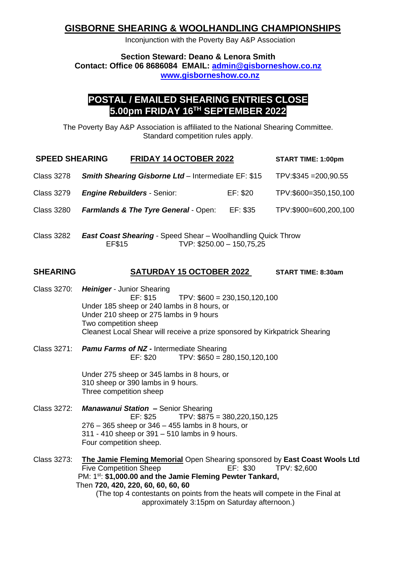## **GISBORNE SHEARING & WOOLHANDLING CHAMPIONSHIPS**

Inconjunction with the Poverty Bay A&P Association

**Section Steward: Deano & Lenora Smith Contact: Office 06 8686084 EMAIL: [admin@gisborneshow.co.nz](mailto:admin@gisborneshow.co.nz) [www.gisborneshow.co.nz](http://www.gisborneshow.co.nz/)**

## **POSTAL / EMAILED SHEARING ENTRIES CLOSE 5.00pm FRIDAY 16TH SEPTEMBER 2022**

The Poverty Bay A&P Association is affiliated to the National Shearing Committee. Standard competition rules apply.

| <b>SPEED SHEARING</b> |                                                                                                                                                                                                                                                                                  | <b>FRIDAY 14 OCTOBER 2022</b>                   |                                                                                                  |          | <b>START TIME: 1:00pm</b>                                                                                                                                                  |
|-----------------------|----------------------------------------------------------------------------------------------------------------------------------------------------------------------------------------------------------------------------------------------------------------------------------|-------------------------------------------------|--------------------------------------------------------------------------------------------------|----------|----------------------------------------------------------------------------------------------------------------------------------------------------------------------------|
| <b>Class 3278</b>     |                                                                                                                                                                                                                                                                                  |                                                 | <b>Smith Shearing Gisborne Ltd - Intermediate EF: \$15</b>                                       |          | $TPV: $345 = 200,90.55$                                                                                                                                                    |
| <b>Class 3279</b>     |                                                                                                                                                                                                                                                                                  | <b>Engine Rebuilders - Senior:</b>              |                                                                                                  | EF: \$20 | TPV:\$600=350,150,100                                                                                                                                                      |
| <b>Class 3280</b>     |                                                                                                                                                                                                                                                                                  | <b>Farmlands &amp; The Tyre General - Open:</b> |                                                                                                  | EF: \$35 | TPV:\$900=600,200,100                                                                                                                                                      |
| <b>Class 3282</b>     | EF\$15                                                                                                                                                                                                                                                                           |                                                 | <b>East Coast Shearing - Speed Shear - Woolhandling Quick Throw</b><br>TVP: \$250.00 - 150,75,25 |          |                                                                                                                                                                            |
| <b>SHEARING</b>       |                                                                                                                                                                                                                                                                                  |                                                 | <b>SATURDAY 15 OCTOBER 2022</b>                                                                  |          | <b>START TIME: 8:30am</b>                                                                                                                                                  |
| Class 3270:           | <b>Heiniger</b> - Junior Shearing<br>EF: \$15<br>TPV: $$600 = 230,150,120,100$<br>Under 185 sheep or 240 lambs in 8 hours, or<br>Under 210 sheep or 275 lambs in 9 hours<br>Two competition sheep<br>Cleanest Local Shear will receive a prize sponsored by Kirkpatrick Shearing |                                                 |                                                                                                  |          |                                                                                                                                                                            |
| Class 3271:           | <b>Pamu Farms of NZ - Intermediate Shearing</b><br>TPV: $$650 = 280,150,120,100$<br>EF: \$20<br>Under 275 sheep or 345 lambs in 8 hours, or<br>310 sheep or 390 lambs in 9 hours.<br>Three competition sheep                                                                     |                                                 |                                                                                                  |          |                                                                                                                                                                            |
| Class 3272:           | <b>Manawanui Station - Senior Shearing</b><br>TPV: $$875 = 380,220,150,125$<br>EF: \$25<br>$276 - 365$ sheep or $346 - 455$ lambs in 8 hours, or<br>311 - 410 sheep or 391 - 510 lambs in 9 hours.<br>Four competition sheep.                                                    |                                                 |                                                                                                  |          |                                                                                                                                                                            |
| Class 3273:           | <b>Five Competition Sheep</b><br>PM: 1 <sup>st</sup> : \$1,000.00 and the Jamie Fleming Pewter Tankard,<br>Then 720, 420, 220, 60, 60, 60, 60                                                                                                                                    |                                                 | approximately 3:15pm on Saturday afternoon.)                                                     | EF: \$30 | The Jamie Fleming Memorial Open Shearing sponsored by East Coast Wools Ltd<br>TPV: \$2,600<br>(The top 4 contestants on points from the heats will compete in the Final at |